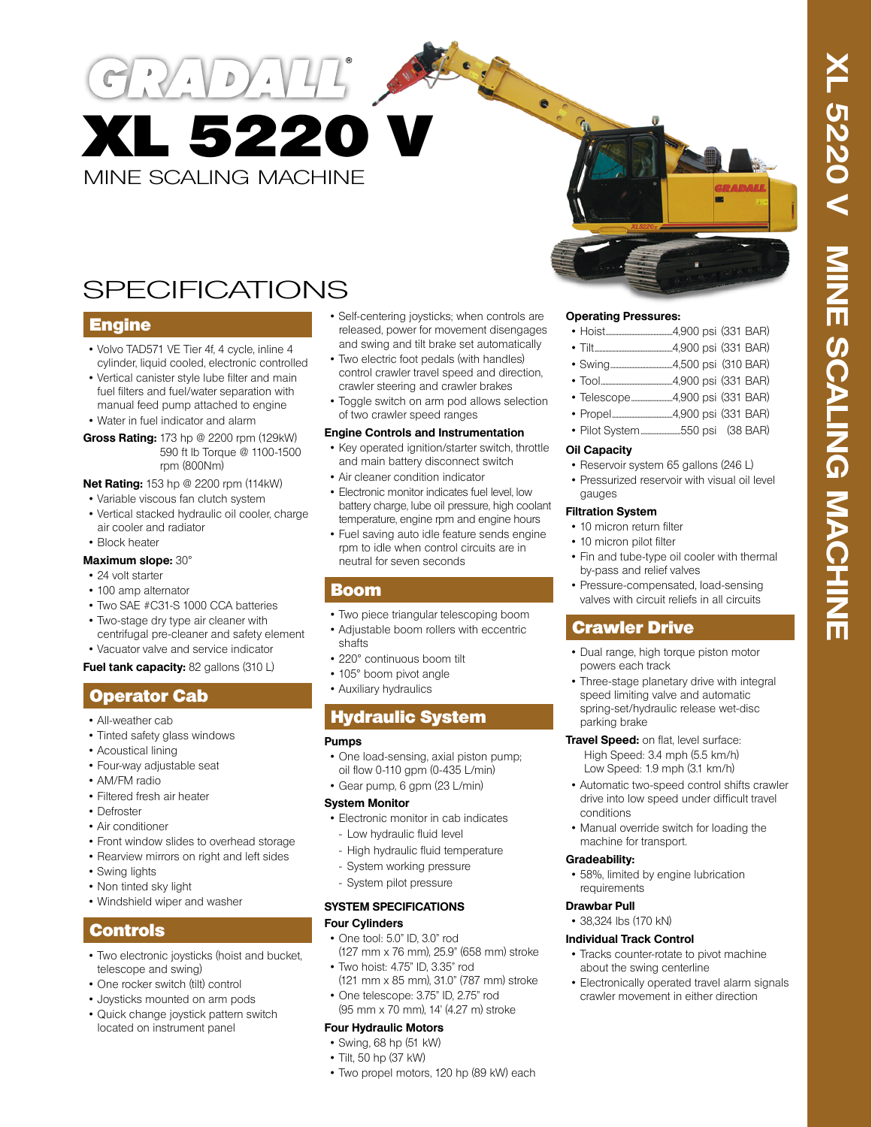MINE SCALING MACHINE XL 5220 V

DAVIT AN

# SPECIFICATIONS

### **Engine**

- Volvo TAD571 VE Tier 4f, 4 cycle, inline 4 cylinder, liquid cooled, electronic controlled
- Vertical canister style lube filter and main fuel filters and fuel/water separation with manual feed pump attached to engine
- Water in fuel indicator and alarm
- **Gross Rating:** 173 hp @ 2200 rpm (129kW) 590 ft lb Torque @ 1100-1500 rpm (800Nm)

#### **Net Rating:** 153 hp @ 2200 rpm (114kW)

- Variable viscous fan clutch system
- Vertical stacked hydraulic oil cooler, charge air cooler and radiator
- Block heater

#### **Maximum slope:** 30°

- 24 volt starter
- 100 amp alternator
- Two SAE #C31-S 1000 CCA batteries
- Two-stage dry type air cleaner with
- centrifugal pre-cleaner and safety element
- Vacuator valve and service indicator

### **Fuel tank capacity: 82 gallons (310 L)**

# Operator Cab

- All-weather cab
- Tinted safety glass windows
- Acoustical lining
- Four-way adjustable seat
- AM/FM radio
- Filtered fresh air heater
- Defroster
- Air conditioner
- Front window slides to overhead storage
- Rearview mirrors on right and left sides
- Swing lights
- Non tinted sky light
- Windshield wiper and washer

# Controls

- Two electronic joysticks (hoist and bucket, telescope and swing)
- One rocker switch (tilt) control
- Joysticks mounted on arm pods
- Quick change joystick pattern switch located on instrument panel
- Self-centering joysticks; when controls are released, power for movement disengages and swing and tilt brake set automatically
- Two electric foot pedals (with handles) control crawler travel speed and direction, crawler steering and crawler brakes
- Toggle switch on arm pod allows selection of two crawler speed ranges

#### **Engine Controls and Instrumentation**

- Key operated ignition/starter switch, throttle and main battery disconnect switch
- Air cleaner condition indicator
- Electronic monitor indicates fuel level, low battery charge, lube oil pressure, high coolant temperature, engine rpm and engine hours
- Fuel saving auto idle feature sends engine rpm to idle when control circuits are in neutral for seven seconds

### Boom

- Two piece triangular telescoping boom
- Adjustable boom rollers with eccentric
- shafts
- 220° continuous boom tilt
- 105° boom pivot angle
- Auxiliary hydraulics

# Hydraulic System

#### **Pumps**

- One load-sensing, axial piston pump; oil flow 0-110 gpm (0-435 L/min)
- Gear pump, 6 gpm (23 L/min)

#### **System Monitor**

- Electronic monitor in cab indicates - Low hydraulic fluid level
- High hydraulic fluid temperature
- System working pressure
- System pilot pressure

#### **SYSTEM SPECIFICATIONS Four Cylinders**

- One tool: 5.0" ID, 3.0" rod (127 mm x 76 mm), 25.9" (658 mm) stroke
- $\bullet$  Two hoist: 4.75" ID, 3.35" rod (121 mm x 85 mm), 31.0" (787 mm) stroke
- One telescope: 3.75" ID, 2.75" rod (95 mm x 70 mm), 14' (4.27 m) stroke

#### **Four Hydraulic Motors**

- Swing, 68 hp (51 kW)
- Tilt, 50 hp (37 kW)
- Two propel motors, 120 hp (89 kW) each

#### **Operating Pressures:**

|--|--|--|--|--|--|

- Swing.......................................4,500 psi (310 BAR)
- Tool.............................................4,900 psi (331 BAR)
- Telescope..........................4,900 psi (331 BAR)
- Propel......................................4,900 psi (331 BAR)
- Pilot System.........................550 psi (38 BAR)

#### **Oil Capacity**

- Reservoir system 65 gallons (246 L)
- Pressurized reservoir with visual oil level gauges

#### **Filtration System**

- 10 micron return filter
- 10 micron pilot filter
- Fin and tube-type oil cooler with thermal by-pass and relief valves
- Pressure-compensated, load-sensing valves with circuit reliefs in all circuits

# Crawler Drive

- Dual range, high torque piston motor powers each track
- Three-stage planetary drive with integral speed limiting valve and automatic spring-set/hydraulic release wet-disc parking brake
- **Travel Speed:** on flat, level surface: High Speed: 3.4 mph (5.5 km/h) Low Speed: 1.9 mph (3.1 km/h)
- Automatic two-speed control shifts crawler drive into low speed under difficult travel conditions
- Manual override switch for loading the machine for transport.

#### **Gradeability:**

• 58%, limited by engine lubrication requirements

#### **Drawbar Pull**

• 38,324 lbs (170 kN)

#### **Individual Track Control**

- Tracks counter-rotate to pivot machine about the swing centerline
- Electronically operated travel alarm signals crawler movement in either direction